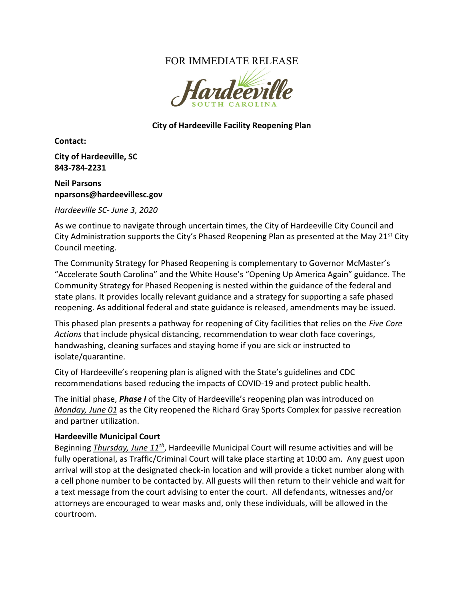# FOR IMMEDIATE RELEASE



#### City of Hardeeville Facility Reopening Plan

Contact:

City of Hardeeville, SC 843-784-2231

Neil Parsons nparsons@hardeevillesc.gov

Hardeeville SC- June 3, 2020

As we continue to navigate through uncertain times, the City of Hardeeville City Council and City Administration supports the City's Phased Reopening Plan as presented at the May 21<sup>st</sup> City Council meeting.

The Community Strategy for Phased Reopening is complementary to Governor McMaster's "Accelerate South Carolina" and the White House's "Opening Up America Again" guidance. The Community Strategy for Phased Reopening is nested within the guidance of the federal and state plans. It provides locally relevant guidance and a strategy for supporting a safe phased reopening. As additional federal and state guidance is released, amendments may be issued.

This phased plan presents a pathway for reopening of City facilities that relies on the Five Core Actions that include physical distancing, recommendation to wear cloth face coverings, handwashing, cleaning surfaces and staying home if you are sick or instructed to isolate/quarantine.

City of Hardeeville's reopening plan is aligned with the State's guidelines and CDC recommendations based reducing the impacts of COVID-19 and protect public health.

The initial phase, Phase I of the City of Hardeeville's reopening plan was introduced on Monday, June 01 as the City reopened the Richard Gray Sports Complex for passive recreation and partner utilization.

#### Hardeeville Municipal Court

Beginning *Thursday, June 11<sup>th</sup>*, Hardeeville Municipal Court will resume activities and will be fully operational, as Traffic/Criminal Court will take place starting at 10:00 am. Any guest upon arrival will stop at the designated check-in location and will provide a ticket number along with a cell phone number to be contacted by. All guests will then return to their vehicle and wait for a text message from the court advising to enter the court. All defendants, witnesses and/or attorneys are encouraged to wear masks and, only these individuals, will be allowed in the courtroom.